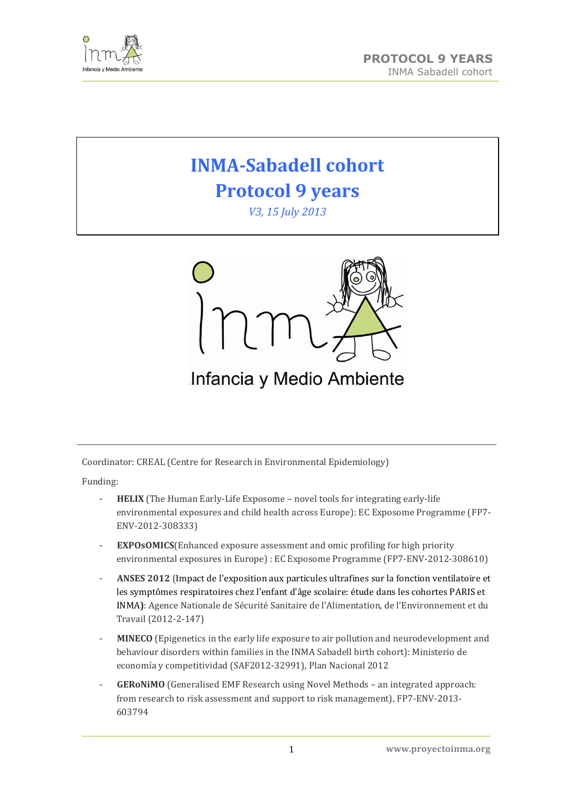

# **INMA-Sabadell cohort Protocol 9 years**

*V3, 15 July 2013*



# Infancia y Medio Ambiente

Coordinator: CREAL (Centre for Research in Environmental Epidemiology)

Funding:

- **HELIX** (The Human Early-Life Exposome novel tools for integrating early-life environmental exposures and child health across Europe): EC Exposome Programme (FP7- ENV-2012-308333)
- **EXPOSOMICS**(Enhanced exposure assessment and omic profiling for high priority environmental exposures in Europe) : EC Exposome Programme (FP7-ENV-2012-308610)
- **ANSES 2012** (Impact de l'exposition aux particules ultrafines sur la fonction ventilatoire et les symptômes respiratoires chez l'enfant d'âge scolaire: étude dans les cohortes PARIS et INMA**)**: Agence Nationale de Sécurité Sanitaire de l'Alimentation, de l'Environnement et du Travail (2012-2-147)
- **MINECO** (Epigenetics in the early life exposure to air pollution and neurodevelopment and behaviour disorders within families in the INMA Sabadell birth cohort): Ministerio de economía y competitividad (SAF2012-32991), Plan Nacional 2012
- **GERoNiMO** (Generalised EMF Research using Novel Methods an integrated approach: from research to risk assessment and support to risk management), FP7-ENV-2013- 603794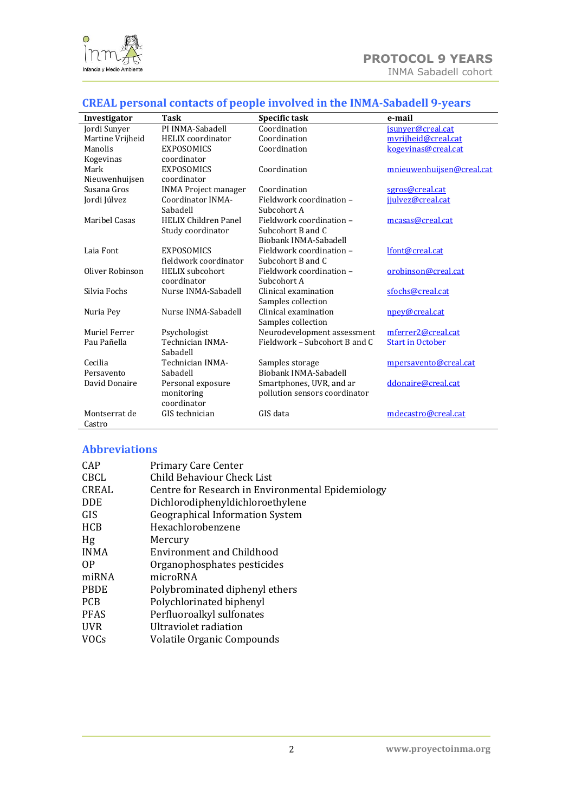

# **CREAL personal contacts of people involved in the INMA-Sabadell 9-years**

|                      | $\frac{1}{2}$               |                               |                           |  |  |  |  |
|----------------------|-----------------------------|-------------------------------|---------------------------|--|--|--|--|
| Investigator         | Task                        | Specific task                 | e-mail                    |  |  |  |  |
| Jordi Sunyer         | PI INMA-Sabadell            | Coordination                  | jsunyer@creal.cat         |  |  |  |  |
| Martine Vrijheid     | <b>HELIX</b> coordinator    | Coordination                  | myrijheid@creal.cat       |  |  |  |  |
| Manolis              | <b>EXPOSOMICS</b>           | Coordination                  | kogevinas@creal.cat       |  |  |  |  |
| Kogevinas            | coordinator                 |                               |                           |  |  |  |  |
| Mark                 | <b>EXPOSOMICS</b>           | Coordination                  | mnieuwenhuijsen@creal.cat |  |  |  |  |
| Nieuwenhuijsen       | coordinator                 |                               |                           |  |  |  |  |
| Susana Gros          | <b>INMA Project manager</b> | Coordination                  | sgros@creal.cat           |  |  |  |  |
| Jordi Júlvez         | Coordinator INMA-           | Fieldwork coordination -      | jjulvez@creal.cat         |  |  |  |  |
|                      | Sabadell                    | Subcohort A                   |                           |  |  |  |  |
| <b>Maribel Casas</b> | <b>HELIX Children Panel</b> | Fieldwork coordination -      | mcasas@creal.cat          |  |  |  |  |
|                      | Study coordinator           | Subcohort B and C             |                           |  |  |  |  |
|                      |                             | Biobank INMA-Sabadell         |                           |  |  |  |  |
| Laia Font            | <b>EXPOSOMICS</b>           | Fieldwork coordination -      | lfont@creal.cat           |  |  |  |  |
|                      | fieldwork coordinator       | Subcohort B and C             |                           |  |  |  |  |
| Oliver Robinson      | <b>HELIX</b> subcohort      | Fieldwork coordination -      | orobinson@creal.cat       |  |  |  |  |
|                      | coordinator                 | Subcohort A                   |                           |  |  |  |  |
| Silvia Fochs         | Nurse INMA-Sabadell         | Clinical examination          | sfochs@creal.cat          |  |  |  |  |
|                      |                             | Samples collection            |                           |  |  |  |  |
| Nuria Pey            | Nurse INMA-Sabadell         | Clinical examination          | npey@creal.cat            |  |  |  |  |
|                      |                             | Samples collection            |                           |  |  |  |  |
| Muriel Ferrer        | Psychologist                | Neurodevelopment assessment   | mferrer2@creal.cat        |  |  |  |  |
| Pau Pañella          | Technician INMA-            | Fieldwork – Subcohort B and C | <b>Start in October</b>   |  |  |  |  |
|                      | Sabadell                    |                               |                           |  |  |  |  |
| Cecilia              | Technician INMA-            | Samples storage               | mpersavento@creal.cat     |  |  |  |  |
| Persavento           | Sabadell                    | Biobank INMA-Sabadell         |                           |  |  |  |  |
| David Donaire        | Personal exposure           | Smartphones, UVR, and ar      | ddonaire@creal.cat        |  |  |  |  |
|                      | monitoring                  | pollution sensors coordinator |                           |  |  |  |  |
|                      | coordinator                 |                               |                           |  |  |  |  |
| Montserrat de        | GIS technician              | GIS data                      | mdecastro@creal.cat       |  |  |  |  |
| Castro               |                             |                               |                           |  |  |  |  |

## **Abbreviations**

| <b>CAP</b>   | <b>Primary Care Center</b>                        |
|--------------|---------------------------------------------------|
| <b>CBCL</b>  | Child Behaviour Check List                        |
| <b>CREAL</b> | Centre for Research in Environmental Epidemiology |
| <b>DDE</b>   | Dichlorodiphenyldichloroethylene                  |
| GIS          | <b>Geographical Information System</b>            |
| <b>HCB</b>   | Hexachlorobenzene                                 |
| Hg           | Mercury                                           |
| <b>INMA</b>  | Environment and Childhood                         |
| 0P           | Organophosphates pesticides                       |
| miRNA        | microRNA                                          |
| <b>PBDE</b>  | Polybrominated diphenyl ethers                    |
| <b>PCB</b>   | Polychlorinated biphenyl                          |
| <b>PFAS</b>  | Perfluoroalkyl sulfonates                         |
| <b>UVR</b>   | Ultraviolet radiation                             |
| <b>VOCs</b>  | Volatile Organic Compounds                        |
|              |                                                   |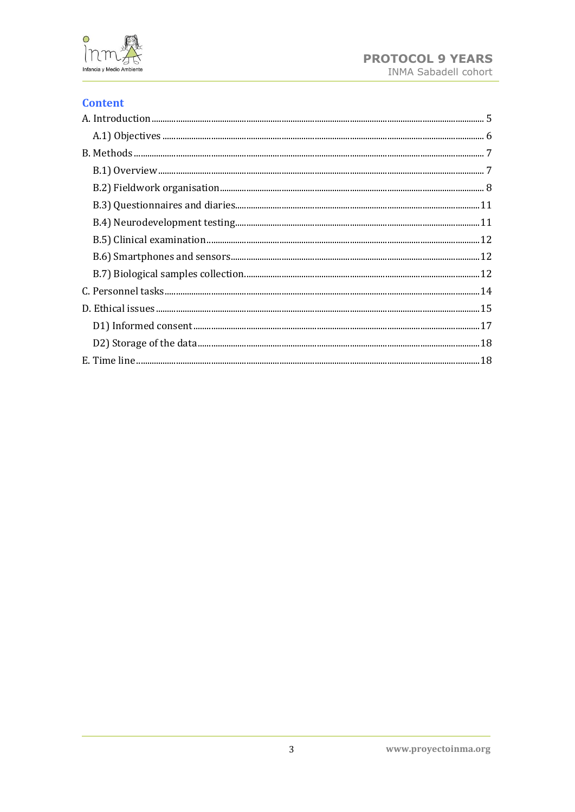

## **Content**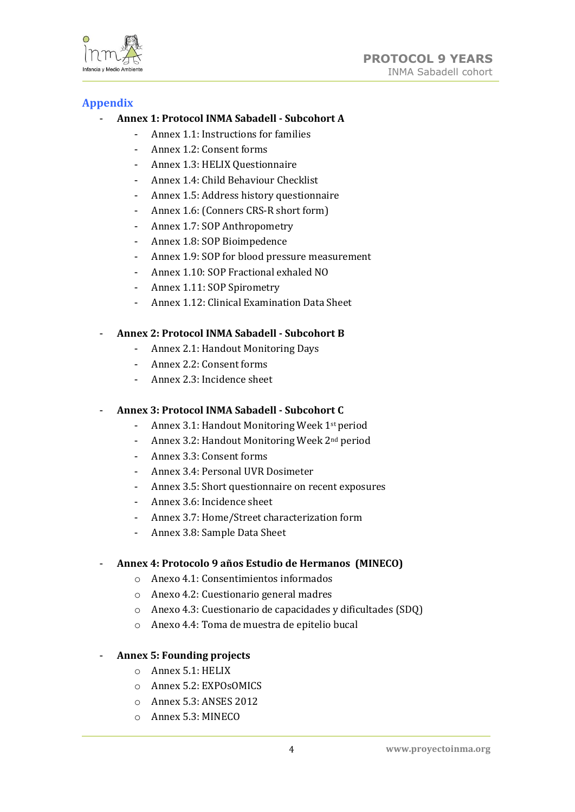

## **Appendix**

## - **Annex 1: Protocol INMA Sabadell - Subcohort A**

- Annex 1.1: Instructions for families
- Annex 1.2: Consent forms
- Annex 1.3: HELIX Questionnaire
- Annex 1.4: Child Behaviour Checklist
- Annex 1.5: Address history questionnaire
- Annex 1.6: (Conners CRS-R short form)
- Annex 1.7: SOP Anthropometry
- Annex 1.8: SOP Bioimpedence
- Annex 1.9: SOP for blood pressure measurement
- Annex 1.10: SOP Fractional exhaled NO
- Annex 1.11: SOP Spirometry
	- Annex 1.12: Clinical Examination Data Sheet

## - **Annex 2: Protocol INMA Sabadell - Subcohort B**

- Annex 2.1: Handout Monitoring Days
- Annex 2.2: Consent forms
- Annex 2.3: Incidence sheet

## - **Annex 3: Protocol INMA Sabadell - Subcohort C**

- Annex 3.1: Handout Monitoring Week 1st period
- Annex 3.2: Handout Monitoring Week 2nd period
- Annex 3.3: Consent forms
- Annex 3.4: Personal UVR Dosimeter
- Annex 3.5: Short questionnaire on recent exposures
- Annex 3.6: Incidence sheet
- Annex 3.7: Home/Street characterization form
- Annex 3.8: Sample Data Sheet

## - **Annex 4: Protocolo 9 años Estudio de Hermanos (MINECO)**

- o Anexo 4.1: Consentimientos informados
- o Anexo 4.2: Cuestionario general madres
- o Anexo 4.3: Cuestionario de capacidades y dificultades (SDQ)
- o Anexo 4.4: Toma de muestra de epitelio bucal

## - **Annex 5: Founding projects**

- o Annex 5.1: HELIX
- o Annex 5.2: EXPOsOMICS
- o Annex 5.3: ANSES 2012
- o Annex 5.3: MINECO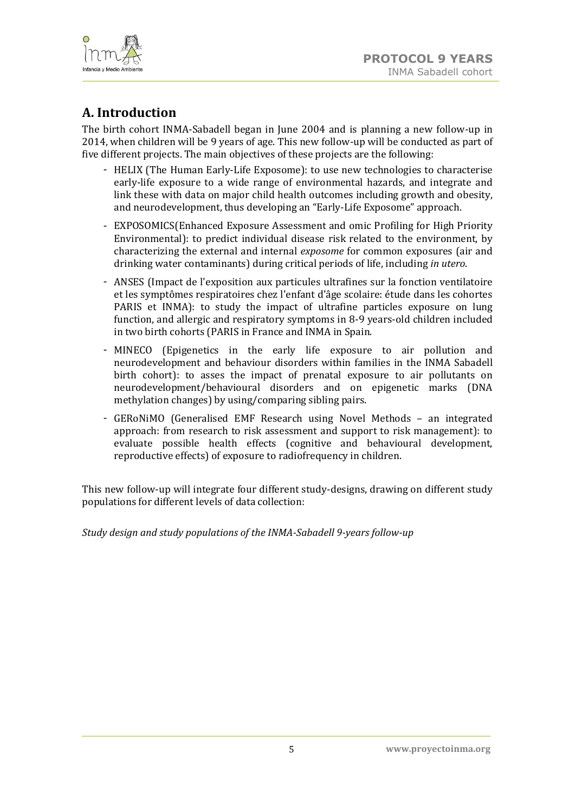

# <span id="page-4-0"></span>**A. Introduction**

The birth cohort INMA-Sabadell began in June 2004 and is planning a new follow-up in 2014, when children will be 9 years of age. This new follow-up will be conducted as part of five different projects. The main objectives of these projects are the following:

- HELIX (The Human Early-Life Exposome): to use new technologies to characterise early-life exposure to a wide range of environmental hazards, and integrate and link these with data on major child health outcomes including growth and obesity, and neurodevelopment, thus developing an "Early-Life Exposome" approach.
- EXPOSOMICS(Enhanced Exposure Assessment and omic Profiling for High Priority Environmental): to predict individual disease risk related to the environment, by characterizing the external and internal *exposome* for common exposures (air and drinking water contaminants) during critical periods of life, including *in utero*.
- ANSES [\(Impact de l'exposition aux particules ultrafines sur la fonction ventilatoire](http://icreal.creal.cat/ajuts/7500/edit?personal=false)  [et les symptômes respiratoires chez l'enfant d'âge scolaire: étude dans les cohortes](http://icreal.creal.cat/ajuts/7500/edit?personal=false)  [PARIS et INMA\)](http://icreal.creal.cat/ajuts/7500/edit?personal=false): to study the impact of ultrafine particles exposure on lung function, and allergic and respiratory symptoms in 8-9 years-old children included in two birth cohorts (PARIS in France and INMA in Spain.
- MINECO (Epigenetics in the early life exposure to air pollution and neurodevelopment and behaviour disorders within families in the INMA Sabadell birth cohort): to asses the impact of prenatal exposure to air pollutants on neurodevelopment/behavioural disorders and on epigenetic marks (DNA methylation changes) by using/comparing sibling pairs.
- GERoNiMO (Generalised EMF Research using Novel Methods an integrated approach: from research to risk assessment and support to risk management): to evaluate possible health effects (cognitive and behavioural development, reproductive effects) of exposure to radiofrequency in children.

This new follow-up will integrate four different study-designs, drawing on different study populations for different levels of data collection:

*Study design and study populations of the INMA-Sabadell 9-years follow-up*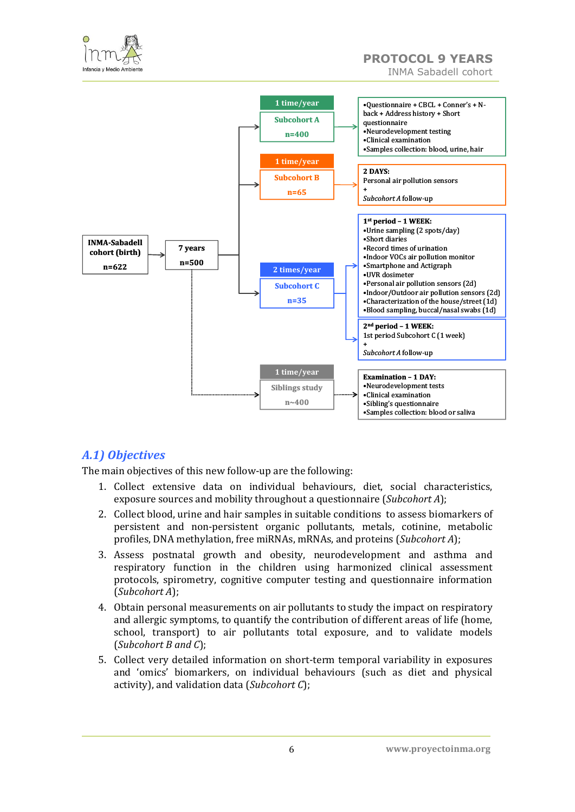



## <span id="page-5-0"></span>*A.1) Objectives*

The main objectives of this new follow-up are the following:

- 1. Collect extensive data on individual behaviours, diet, social characteristics, exposure sources and mobility throughout a questionnaire (*Subcohort A*);
- 2. Collect blood, urine and hair samples in suitable conditions to assess biomarkers of persistent and non-persistent organic pollutants, metals, cotinine, metabolic profiles, DNA methylation, free miRNAs, mRNAs, and proteins (*Subcohort A*);
- 3. Assess postnatal growth and obesity, neurodevelopment and asthma and respiratory function in the children using harmonized clinical assessment protocols, spirometry, cognitive computer testing and questionnaire information (*Subcohort A*);
- 4. Obtain personal measurements on air pollutants to study the impact on respiratory and allergic symptoms, to quantify the contribution of different areas of life (home, school, transport) to air pollutants total exposure, and to validate models (*Subcohort B and C*);
- 5. Collect very detailed information on short-term temporal variability in exposures and 'omics' biomarkers, on individual behaviours (such as diet and physical activity), and validation data (*Subcohort C*);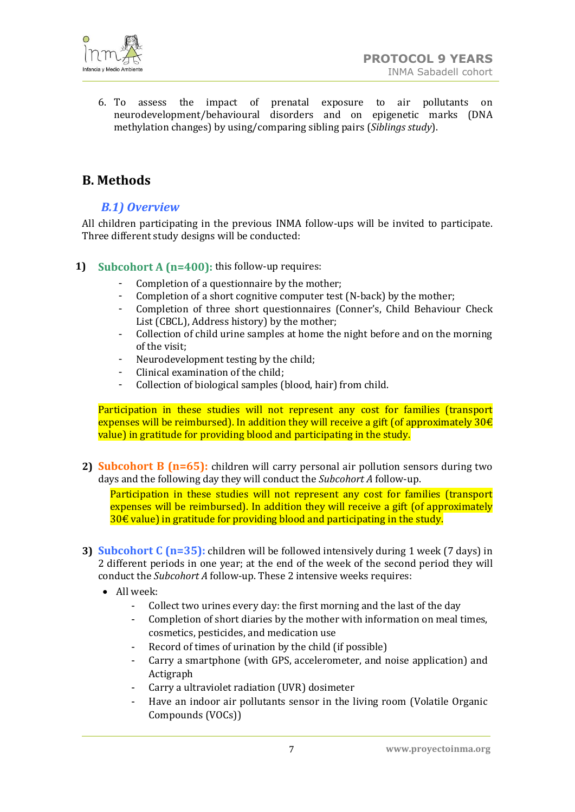

6. To assess the impact of prenatal exposure to air pollutants on neurodevelopment/behavioural disorders and on epigenetic marks (DNA methylation changes) by using/comparing sibling pairs (*Siblings study*).

## <span id="page-6-1"></span><span id="page-6-0"></span>**B. Methods**

## *B.1) Overview*

All children participating in the previous INMA follow-ups will be invited to participate. Three different study designs will be conducted:

#### **1) Subcohort A (n=400):** this follow-up requires:

- Completion of a questionnaire by the mother;
- Completion of a short cognitive computer test (N-back) by the mother;
- Completion of three short questionnaires (Conner's, Child Behaviour Check List (CBCL), Address history) by the mother;
- Collection of child urine samples at home the night before and on the morning of the visit;
- Neurodevelopment testing by the child;
- Clinical examination of the child;
- Collection of biological samples (blood, hair) from child.

Participation in these studies will not represent any cost for families (transport expenses will be reimbursed). In addition they will receive a gift (of approximately  $30 \text{E}$ value) in gratitude for providing blood and participating in the study.

**2) Subcohort B (n=65):** children will carry personal air pollution sensors during two days and the following day they will conduct the *Subcohort A* follow-up.

Participation in these studies will not represent any cost for families (transport expenses will be reimbursed). In addition they will receive a gift (of approximately  $30€$  value) in gratitude for providing blood and participating in the study.

- **3) Subcohort C (n=35):** children will be followed intensively during 1 week (7 days) in 2 different periods in one year; at the end of the week of the second period they will conduct the *Subcohort A* follow-up. These 2 intensive weeks requires:
	- All week:
		- Collect two urines every day: the first morning and the last of the day
		- Completion of short diaries by the mother with information on meal times, cosmetics, pesticides, and medication use
		- Record of times of urination by the child (if possible)
		- Carry a smartphone (with GPS, accelerometer, and noise application) and Actigraph
		- Carry a ultraviolet radiation (UVR) dosimeter
		- Have an indoor air pollutants sensor in the living room (Volatile Organic Compounds (VOCs))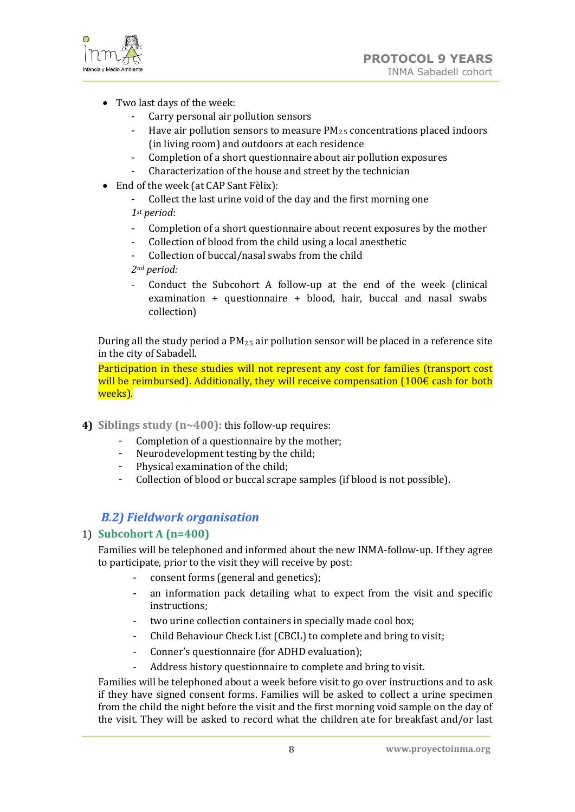

- Two last days of the week:
	- Carry personal air pollution sensors
	- Have air pollution sensors to measure  $PM<sub>2.5</sub>$  concentrations placed indoors (in living room) and outdoors at each residence
	- Completion of a short questionnaire about air pollution exposures
	- Characterization of the house and street by the technician
- End of the week (at CAP Sant Fèlix):
	- Collect the last urine void of the day and the first morning one *1st period*:
	- Completion of a short questionnaire about recent exposures by the mother
	- Collection of blood from the child using a local anesthetic
	- Collection of buccal/nasal swabs from the child

*2nd period:*

- Conduct the Subcohort A follow-up at the end of the week (clinical examination + questionnaire + blood, hair, buccal and nasal swabs collection)

During all the study period a  $PM_{2.5}$  air pollution sensor will be placed in a reference site in the city of Sabadell.

Participation in these studies will not represent any cost for families (transport cost will be reimbursed). Additionally, they will receive compensation  $(100 \epsilon \text{ cash for both})$ weeks).

- **4) Siblings study (n~400):** this follow-up requires:
	- Completion of a questionnaire by the mother;
	- Neurodevelopment testing by the child;
	- Physical examination of the child;
	- Collection of blood or buccal scrape samples (if blood is not possible).

## <span id="page-7-0"></span>*B.2) Fieldwork organisation*

## 1) **Subcohort A (n=400)**

Families will be telephoned and informed about the new INMA-follow-up. If they agree to participate, prior to the visit they will receive by post:

- consent forms (general and genetics);
- an information pack detailing what to expect from the visit and specific instructions;
- two urine collection containers in specially made cool box;
- Child Behaviour Check List (CBCL) to complete and bring to visit;
- Conner's questionnaire (for ADHD evaluation);
- Address history questionnaire to complete and bring to visit.

Families will be telephoned about a week before visit to go over instructions and to ask if they have signed consent forms. Families will be asked to collect a urine specimen from the child the night before the visit and the first morning void sample on the day of the visit. They will be asked to record what the children ate for breakfast and/or last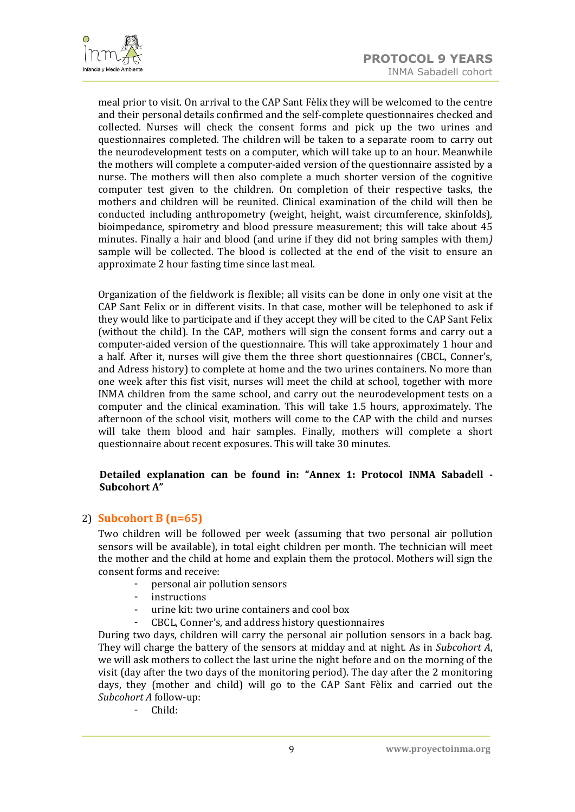

meal prior to visit. On arrival to the CAP Sant Fèlix they will be welcomed to the centre and their personal details confirmed and the self-complete questionnaires checked and collected. Nurses will check the consent forms and pick up the two urines and questionnaires completed. The children will be taken to a separate room to carry out the neurodevelopment tests on a computer, which will take up to an hour. Meanwhile the mothers will complete a computer-aided version of the questionnaire assisted by a nurse. The mothers will then also complete a much shorter version of the cognitive computer test given to the children. On completion of their respective tasks, the mothers and children will be reunited. Clinical examination of the child will then be conducted including anthropometry (weight, height, waist circumference, skinfolds), bioimpedance, spirometry and blood pressure measurement; this will take about 45 minutes. Finally a hair and blood (and urine if they did not bring samples with them*)* sample will be collected. The blood is collected at the end of the visit to ensure an approximate 2 hour fasting time since last meal.

Organization of the fieldwork is flexible; all visits can be done in only one visit at the CAP Sant Felix or in different visits. In that case, mother will be telephoned to ask if they would like to participate and if they accept they will be cited to the CAP Sant Felix (without the child). In the CAP, mothers will sign the consent forms and carry out a computer-aided version of the questionnaire. This will take approximately 1 hour and a half. After it, nurses will give them the three short questionnaires (CBCL, Conner's, and Adress history) to complete at home and the two urines containers. No more than one week after this fist visit, nurses will meet the child at school, together with more INMA children from the same school, and carry out the neurodevelopment tests on a computer and the clinical examination. This will take 1.5 hours, approximately. The afternoon of the school visit, mothers will come to the CAP with the child and nurses will take them blood and hair samples. Finally, mothers will complete a short questionnaire about recent exposures. This will take 30 minutes.

#### **Detailed explanation can be found in: "Annex 1: Protocol INMA Sabadell - Subcohort A"**

## 2) **Subcohort B (n=65)**

Two children will be followed per week (assuming that two personal air pollution sensors will be available), in total eight children per month. The technician will meet the mother and the child at home and explain them the protocol. Mothers will sign the consent forms and receive:

- personal air pollution sensors
- instructions
- urine kit: two urine containers and cool box
- CBCL, Conner's, and address history questionnaires

During two days, children will carry the personal air pollution sensors in a back bag. They will charge the battery of the sensors at midday and at night. As in *Subcohort A*, we will ask mothers to collect the last urine the night before and on the morning of the visit (day after the two days of the monitoring period). The day after the 2 monitoring days, they (mother and child) will go to the CAP Sant Fèlix and carried out the *Subcohort A* follow-up:

- Child: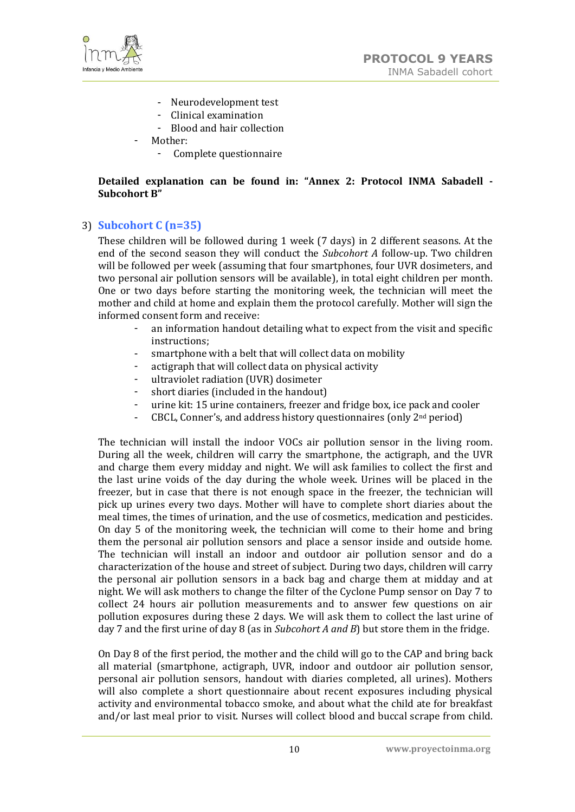

- Neurodevelopment test
- Clinical examination
- Blood and hair collection
- Mother:
	- Complete questionnaire

#### **Detailed explanation can be found in: "Annex 2: Protocol INMA Sabadell - Subcohort B"**

## 3) **Subcohort C (n=35)**

These children will be followed during 1 week (7 days) in 2 different seasons. At the end of the second season they will conduct the *Subcohort A* follow-up. Two children will be followed per week (assuming that four smartphones, four UVR dosimeters, and two personal air pollution sensors will be available), in total eight children per month. One or two days before starting the monitoring week, the technician will meet the mother and child at home and explain them the protocol carefully. Mother will sign the informed consent form and receive:

- an information handout detailing what to expect from the visit and specific instructions;
- smartphone with a belt that will collect data on mobility
- actigraph that will collect data on physical activity
- ultraviolet radiation (UVR) dosimeter
- short diaries (included in the handout)
- urine kit: 15 urine containers, freezer and fridge box, ice pack and cooler
- CBCL, Conner's, and address history questionnaires (only 2nd period)

The technician will install the indoor VOCs air pollution sensor in the living room. During all the week, children will carry the smartphone, the actigraph, and the UVR and charge them every midday and night. We will ask families to collect the first and the last urine voids of the day during the whole week. Urines will be placed in the freezer, but in case that there is not enough space in the freezer, the technician will pick up urines every two days. Mother will have to complete short diaries about the meal times, the times of urination, and the use of cosmetics, medication and pesticides. On day 5 of the monitoring week, the technician will come to their home and bring them the personal air pollution sensors and place a sensor inside and outside home. The technician will install an indoor and outdoor air pollution sensor and do a characterization of the house and street of subject. During two days, children will carry the personal air pollution sensors in a back bag and charge them at midday and at night. We will ask mothers to change the filter of the Cyclone Pump sensor on Day 7 to collect 24 hours air pollution measurements and to answer few questions on air pollution exposures during these 2 days. We will ask them to collect the last urine of day 7 and the first urine of day 8 (as in *Subcohort A and B*) but store them in the fridge.

On Day 8 of the first period, the mother and the child will go to the CAP and bring back all material (smartphone, actigraph, UVR, indoor and outdoor air pollution sensor, personal air pollution sensors, handout with diaries completed, all urines). Mothers will also complete a short questionnaire about recent exposures including physical activity and environmental tobacco smoke, and about what the child ate for breakfast and/or last meal prior to visit. Nurses will collect blood and buccal scrape from child.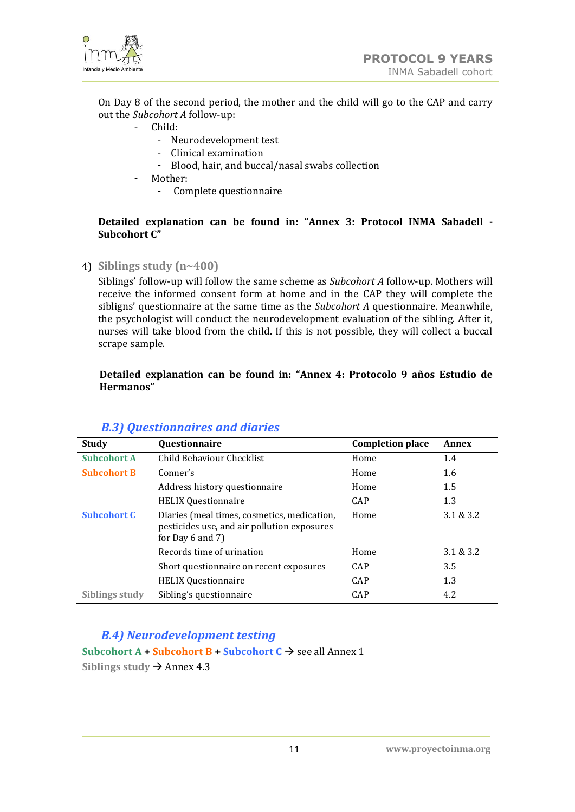

On Day 8 of the second period, the mother and the child will go to the CAP and carry out the *Subcohort A* follow-up:

- Child:
	- Neurodevelopment test
	- Clinical examination
	- Blood, hair, and buccal/nasal swabs collection
- Mother:
	- Complete questionnaire

#### **Detailed explanation can be found in: "Annex 3: Protocol INMA Sabadell - Subcohort C"**

4) **Siblings study (n~400)**

Siblings' follow-up will follow the same scheme as *Subcohort A* follow-up. Mothers will receive the informed consent form at home and in the CAP they will complete the sibligns' questionnaire at the same time as the *Subcohort A* questionnaire. Meanwhile, the psychologist will conduct the neurodevelopment evaluation of the sibling. After it, nurses will take blood from the child. If this is not possible, they will collect a buccal scrape sample.

#### **Detailed explanation can be found in: "Annex 4: Protocolo 9 años Estudio de Hermanos"**

<span id="page-10-0"></span>

| Study              | Questionnaire                                                                                                       | <b>Completion place</b> | Annex     |
|--------------------|---------------------------------------------------------------------------------------------------------------------|-------------------------|-----------|
| <b>Subcohort A</b> | Child Behaviour Checklist                                                                                           | Home                    | 1.4       |
| <b>Subcohort B</b> | Conner's                                                                                                            | Home                    | 1.6       |
|                    | Address history questionnaire                                                                                       | Home                    | 1.5       |
|                    | <b>HELIX Questionnaire</b>                                                                                          | CAP                     | 1.3       |
| <b>Subcohort C</b> | Diaries (meal times, cosmetics, medication,<br>pesticides use, and air pollution exposures<br>for Day $6$ and $7$ ) | Home                    | 3.1 & 3.2 |
|                    | Records time of urination                                                                                           | Home                    | 3.1 & 3.2 |
|                    | Short questionnaire on recent exposures                                                                             | CAP                     | 3.5       |
|                    | <b>HELIX Questionnaire</b>                                                                                          | CAP                     | 1.3       |
| Siblings study     | Sibling's questionnaire                                                                                             | CAP                     | 4.2       |

## *B.3) Questionnaires and diaries*

## <span id="page-10-1"></span>*B.4) Neurodevelopment testing*

**Subcohort A + Subcohort B + Subcohort**  $C \rightarrow$  **see all Annex 1** Siblings study  $\rightarrow$  Annex 4.3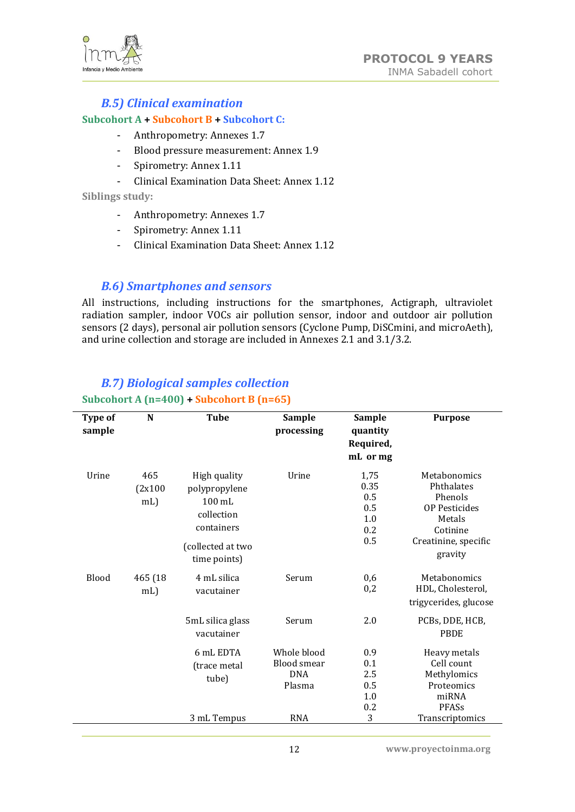

## *B.5) Clinical examination*

#### <span id="page-11-0"></span>**Subcohort A + Subcohort B + Subcohort C:**

- Anthropometry: Annexes 1.7
- Blood pressure measurement: Annex 1.9
- Spirometry: Annex 1.11
- Clinical Examination Data Sheet: Annex 1.12

#### **Siblings study:**

- Anthropometry: Annexes 1.7
- Spirometry: Annex 1.11
- Clinical Examination Data Sheet: Annex 1.12

## <span id="page-11-1"></span>*B.6) Smartphones and sensors*

All instructions, including instructions for the smartphones, Actigraph, ultraviolet radiation sampler, indoor VOCs air pollution sensor, indoor and outdoor air pollution sensors (2 days), personal air pollution sensors (Cyclone Pump, DiSCmini, and microAeth), and urine collection and storage are included in Annexes 2.1 and 3.1/3.2.

## <span id="page-11-2"></span>*B.7) Biological samples collection* **Subcohort A (n=400) + Subcohort B (n=65)**

| Type of<br>sample | N                        | <b>Tube</b>                                                                                                        | <b>Sample</b><br>processing                        | <b>Sample</b><br>quantity<br>Required,<br>mL or mg | <b>Purpose</b>                                                                                                         |
|-------------------|--------------------------|--------------------------------------------------------------------------------------------------------------------|----------------------------------------------------|----------------------------------------------------|------------------------------------------------------------------------------------------------------------------------|
| Urine             | 465<br>(2x100)<br>$mL$ ) | High quality<br>polypropylene<br>$100 \text{ mL}$<br>collection<br>containers<br>(collected at two<br>time points) | Urine                                              | 1,75<br>0.35<br>0.5<br>0.5<br>1.0<br>0.2<br>0.5    | Metabonomics<br>Phthalates<br>Phenols<br><b>OP Pesticides</b><br>Metals<br>Cotinine<br>Creatinine, specific<br>gravity |
| Blood             | 465 (18)<br>$mL$ )       | 4 mL silica<br>vacutainer                                                                                          | Serum                                              | 0,6<br>0,2                                         | Metabonomics<br>HDL, Cholesterol,<br>trigycerides, glucose                                                             |
|                   |                          | 5mL silica glass<br>vacutainer                                                                                     | Serum                                              | 2.0                                                | PCBs, DDE, HCB,<br><b>PBDE</b>                                                                                         |
|                   |                          | 6 mL EDTA<br>(trace metal<br>tube)                                                                                 | Whole blood<br>Blood smear<br><b>DNA</b><br>Plasma | 0.9<br>0.1<br>2.5<br>0.5<br>1.0<br>0.2             | Heavy metals<br>Cell count<br>Methylomics<br>Proteomics<br>miRNA<br>PFASs                                              |
|                   |                          | 3 mL Tempus                                                                                                        | <b>RNA</b>                                         | 3                                                  | Transcriptomics                                                                                                        |

12 **www.proyectoinma.org**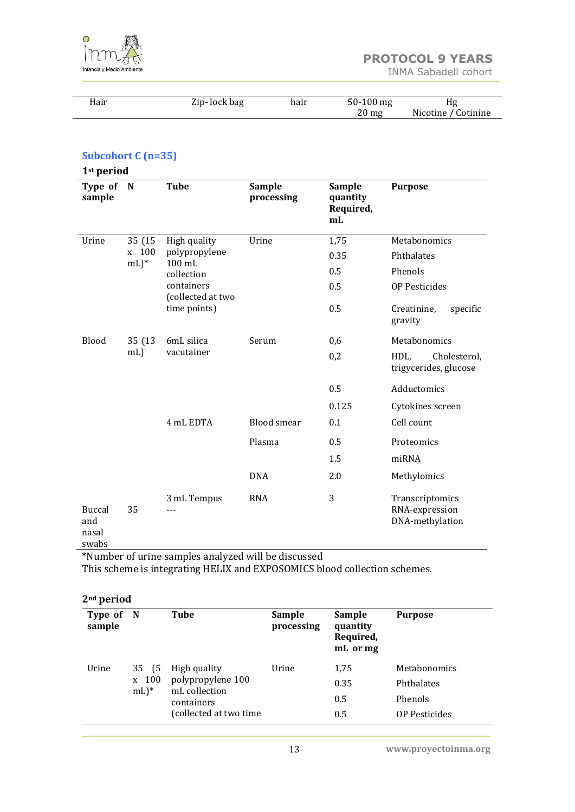

L,

| Hair | Zip-lock bag | hair | $50-100$ mg        | Hg                  |
|------|--------------|------|--------------------|---------------------|
|      |              |      | $20 \,\mathrm{mg}$ | Nicotine / Cotinine |

## **Subcohort C (n=35)**

| 1 <sup>st</sup> period            |                                          |                                       |                      |                                              |                                                      |
|-----------------------------------|------------------------------------------|---------------------------------------|----------------------|----------------------------------------------|------------------------------------------------------|
| Type of<br>sample                 | N                                        | <b>Tube</b>                           | Sample<br>processing | <b>Sample</b><br>quantity<br>Required,<br>mL | <b>Purpose</b>                                       |
| Urine                             | 35 (15                                   | High quality                          | Urine                | 1,75                                         | Metabonomics                                         |
|                                   | 100<br>$\mathbf{x}$<br>$mL$ <sup>*</sup> | polypropylene<br>100 mL               |                      | 0.35                                         | Phthalates                                           |
|                                   |                                          | collection                            |                      | 0.5                                          | Phenols                                              |
|                                   |                                          | containers<br>(collected at two       |                      | 0.5                                          | <b>OP Pesticides</b>                                 |
|                                   |                                          | time points)                          |                      | 0.5                                          | Creatinine,<br>specific<br>gravity                   |
| <b>Blood</b><br>35 (13)<br>$mL$ ) |                                          | 6mL silica<br>vacutainer<br>4 mL EDTA | Serum                | 0,6                                          | Metabonomics                                         |
|                                   |                                          |                                       |                      | 0,2                                          | Cholesterol,<br>HDL,<br>trigycerides, glucose        |
|                                   |                                          |                                       |                      | 0.5                                          | Adductomics                                          |
|                                   |                                          |                                       |                      | 0.125                                        | Cytokines screen                                     |
|                                   |                                          |                                       | <b>Blood</b> smear   | 0.1                                          | Cell count                                           |
|                                   |                                          |                                       | Plasma               | 0.5                                          | Proteomics                                           |
|                                   |                                          |                                       |                      | 1.5                                          | miRNA                                                |
|                                   |                                          |                                       | <b>DNA</b>           | 2.0                                          | Methylomics                                          |
| Buccal<br>and<br>nasal<br>swabs   | 35                                       | 3 mL Tempus<br>---                    | <b>RNA</b>           | 3                                            | Transcriptomics<br>RNA-expression<br>DNA-methylation |

\*Number of urine samples analyzed will be discussed

This scheme is integrating HELIX and EXPOSOMICS blood collection schemes.

| 2 <sup>nd</sup> period<br>Type of N<br>sample |                                    | Tube                   | <b>Sample</b><br>processing | Sample<br>quantity<br>Required,<br>mL or mg | <b>Purpose</b>       |
|-----------------------------------------------|------------------------------------|------------------------|-----------------------------|---------------------------------------------|----------------------|
| Urine                                         | 35 (5                              | High quality           | Urine                       | 1,75                                        | <b>Metabonomics</b>  |
| x 100<br>$mL$ <sup>*</sup>                    | polypropylene 100<br>mL collection |                        | 0.35                        | Phthalates                                  |                      |
|                                               |                                    | containers             |                             | 0.5                                         | <b>Phenols</b>       |
|                                               |                                    | (collected at two time |                             | 0.5                                         | <b>OP Pesticides</b> |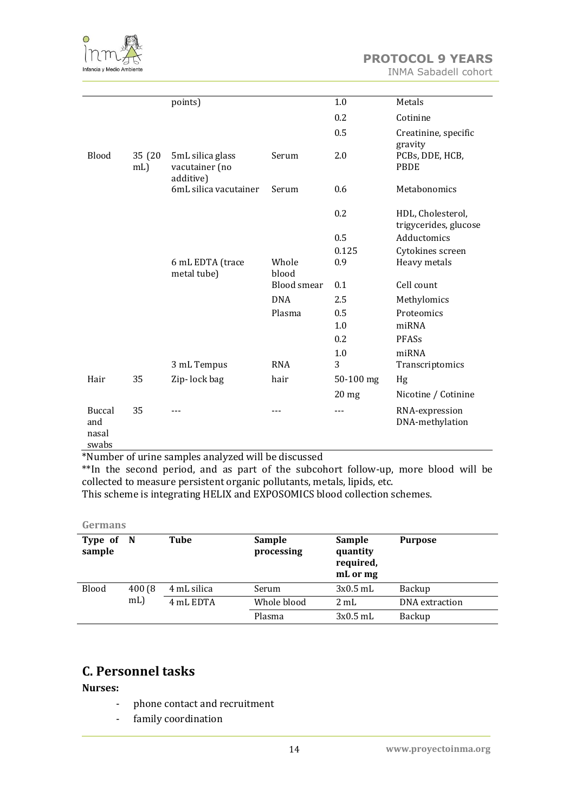

**PROTOCOL 9 YEARS** INMA Sabadell cohort

|                                        |                | points)                                         |                    | 1.0       | Metals                                     |
|----------------------------------------|----------------|-------------------------------------------------|--------------------|-----------|--------------------------------------------|
|                                        |                |                                                 |                    | 0.2       | Cotinine                                   |
|                                        |                |                                                 |                    | 0.5       | Creatinine, specific<br>gravity            |
| Blood                                  | 35 (20)<br>mL) | 5mL silica glass<br>vacutainer (no<br>additive) | Serum              | 2.0       | PCBs, DDE, HCB,<br><b>PBDE</b>             |
|                                        |                | 6mL silica vacutainer                           | Serum              | 0.6       | Metabonomics                               |
|                                        |                |                                                 |                    | 0.2       | HDL, Cholesterol,<br>trigycerides, glucose |
|                                        |                |                                                 |                    | 0.5       | Adductomics                                |
|                                        |                |                                                 |                    | 0.125     | Cytokines screen                           |
|                                        |                | 6 mL EDTA (trace<br>metal tube)                 | Whole<br>blood     | 0.9       | Heavy metals                               |
|                                        |                |                                                 | <b>Blood</b> smear | 0.1       | Cell count                                 |
|                                        |                |                                                 | <b>DNA</b>         | 2.5       | Methylomics                                |
|                                        |                |                                                 | Plasma             | 0.5       | Proteomics                                 |
|                                        |                |                                                 |                    | 1.0       | miRNA                                      |
|                                        |                |                                                 |                    | 0.2       | PFASs                                      |
|                                        |                |                                                 |                    | 1.0       | miRNA                                      |
|                                        |                | 3 mL Tempus                                     | <b>RNA</b>         | 3         | Transcriptomics                            |
| Hair                                   | 35             | Zip-lock bag                                    | hair               | 50-100 mg | Hg                                         |
|                                        |                |                                                 |                    | 20 mg     | Nicotine / Cotinine                        |
| <b>Buccal</b><br>and<br>nasal<br>swabs | 35             |                                                 |                    |           | RNA-expression<br>DNA-methylation          |

\*Number of urine samples analyzed will be discussed

\*\*In the second period, and as part of the subcohort follow-up, more blood will be collected to measure persistent organic pollutants, metals, lipids, etc.

This scheme is integrating HELIX and EXPOSOMICS blood collection schemes.

<span id="page-13-0"></span>**Germans**

| Type of N<br>sample |        | Tube                | Sample<br>processing | Sample<br>quantity<br>required,<br>mL or mg | <b>Purpose</b> |
|---------------------|--------|---------------------|----------------------|---------------------------------------------|----------------|
| <b>Blood</b>        | 400(8) | 4 mL silica         | Serum                | $3x0.5$ mL                                  | Backup         |
|                     |        | $mL$ )<br>4 mL EDTA | Whole blood          | $2 \text{ mL}$                              | DNA extraction |
|                     |        |                     | Plasma               | $3x0.5$ mL                                  | Backup         |

# **C. Personnel tasks**

**Nurses:**

- phone contact and recruitment
- family coordination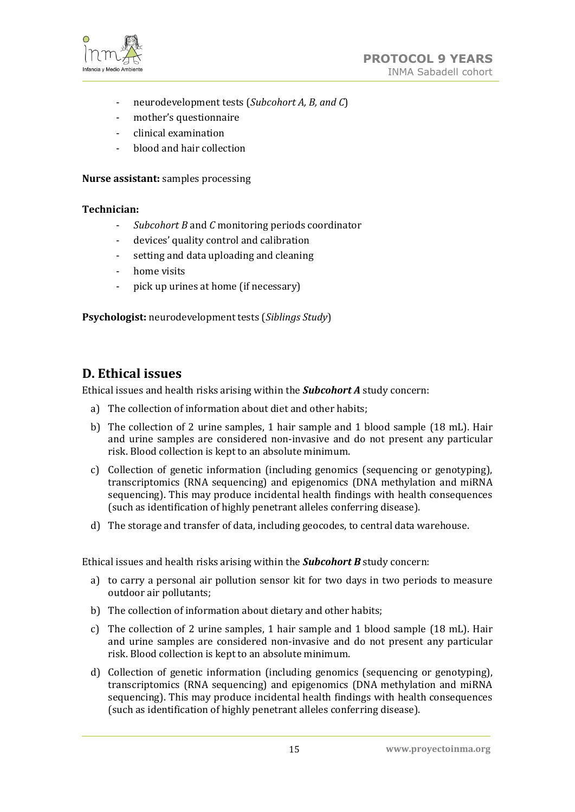

- neurodevelopment tests (*Subcohort A, B, and C*)
- mother's questionnaire
- clinical examination
- blood and hair collection

**Nurse assistant:** samples processing

#### **Technician:**

- *Subcohort B* and *C* monitoring periods coordinator
- devices' quality control and calibration
- setting and data uploading and cleaning
- home visits
- pick up urines at home (if necessary)

**Psychologist:** neurodevelopment tests (*Siblings Study*)

## <span id="page-14-0"></span>**D. Ethical issues**

Ethical issues and health risks arising within the *Subcohort A* study concern:

- a) The collection of information about diet and other habits;
- b) The collection of 2 urine samples, 1 hair sample and 1 blood sample (18 mL). Hair and urine samples are considered non-invasive and do not present any particular risk. Blood collection is kept to an absolute minimum.
- c) Collection of genetic information (including genomics (sequencing or genotyping), transcriptomics (RNA sequencing) and epigenomics (DNA methylation and miRNA sequencing). This may produce incidental health findings with health consequences (such as identification of highly penetrant alleles conferring disease).
- d) The storage and transfer of data, including geocodes, to central data warehouse.

Ethical issues and health risks arising within the *Subcohort B* study concern:

- a) to carry a personal air pollution sensor kit for two days in two periods to measure outdoor air pollutants;
- b) The collection of information about dietary and other habits;
- c) The collection of 2 urine samples, 1 hair sample and 1 blood sample (18 mL). Hair and urine samples are considered non-invasive and do not present any particular risk. Blood collection is kept to an absolute minimum.
- d) Collection of genetic information (including genomics (sequencing or genotyping), transcriptomics (RNA sequencing) and epigenomics (DNA methylation and miRNA sequencing). This may produce incidental health findings with health consequences (such as identification of highly penetrant alleles conferring disease).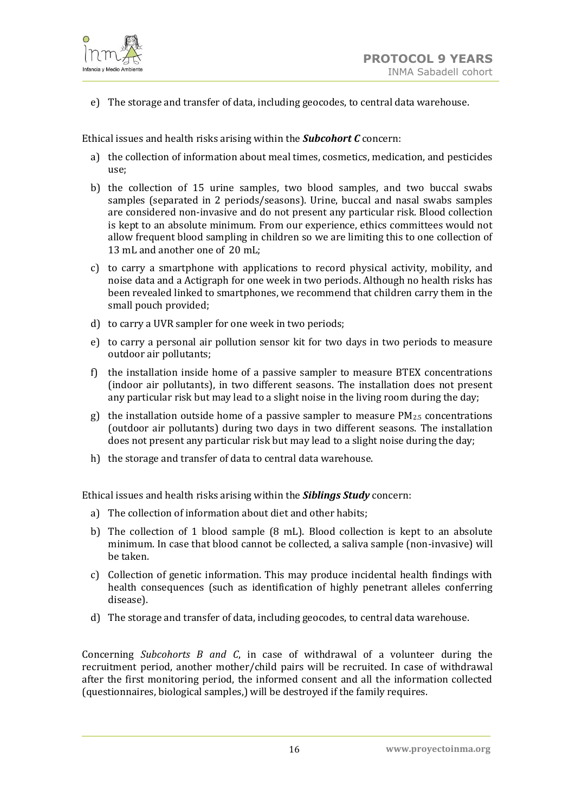

e) The storage and transfer of data, including geocodes, to central data warehouse.

Ethical issues and health risks arising within the *Subcohort C* concern:

- a) the collection of information about meal times, cosmetics, medication, and pesticides use;
- b) the collection of 15 urine samples, two blood samples, and two buccal swabs samples (separated in 2 periods/seasons). Urine, buccal and nasal swabs samples are considered non-invasive and do not present any particular risk. Blood collection is kept to an absolute minimum. From our experience, ethics committees would not allow frequent blood sampling in children so we are limiting this to one collection of 13 mL and another one of 20 mL;
- c) to carry a smartphone with applications to record physical activity, mobility, and noise data and a Actigraph for one week in two periods. Although no health risks has been revealed linked to smartphones, we recommend that children carry them in the small pouch provided;
- d) to carry a UVR sampler for one week in two periods;
- e) to carry a personal air pollution sensor kit for two days in two periods to measure outdoor air pollutants;
- f) the installation inside home of a passive sampler to measure BTEX concentrations (indoor air pollutants), in two different seasons. The installation does not present any particular risk but may lead to a slight noise in the living room during the day;
- g) the installation outside home of a passive sampler to measure  $PM_{2.5}$  concentrations (outdoor air pollutants) during two days in two different seasons. The installation does not present any particular risk but may lead to a slight noise during the day;
- h) the storage and transfer of data to central data warehouse.

Ethical issues and health risks arising within the *Siblings Study* concern:

- a) The collection of information about diet and other habits;
- b) The collection of 1 blood sample (8 mL). Blood collection is kept to an absolute minimum. In case that blood cannot be collected, a saliva sample (non-invasive) will be taken.
- c) Collection of genetic information. This may produce incidental health findings with health consequences (such as identification of highly penetrant alleles conferring disease).
- d) The storage and transfer of data, including geocodes, to central data warehouse.

Concerning *Subcohorts B and C*, in case of withdrawal of a volunteer during the recruitment period, another mother/child pairs will be recruited. In case of withdrawal after the first monitoring period, the informed consent and all the information collected (questionnaires, biological samples,) will be destroyed if the family requires.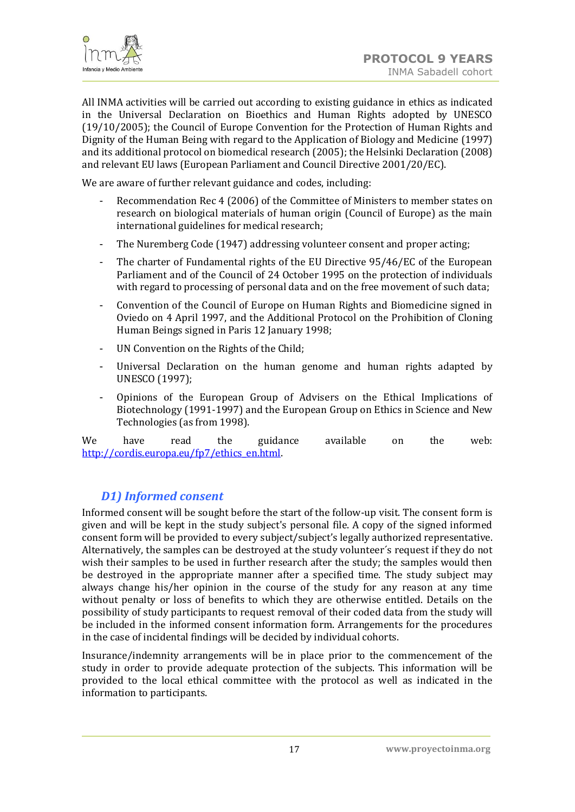

All INMA activities will be carried out according to existing guidance in ethics as indicated in the Universal Declaration on Bioethics and Human Rights adopted by UNESCO (19/10/2005); the Council of Europe Convention for the Protection of Human Rights and Dignity of the Human Being with regard to the Application of Biology and Medicine (1997) and its additional protocol on biomedical research (2005); the Helsinki Declaration (2008) and relevant EU laws (European Parliament and Council Directive 2001/20/EC).

We are aware of further relevant guidance and codes, including:

- Recommendation Rec 4 (2006) of the Committee of Ministers to member states on research on biological materials of human origin (Council of Europe) as the main international guidelines for medical research;
- The Nuremberg Code (1947) addressing volunteer consent and proper acting;
- The charter of Fundamental rights of the EU Directive 95/46/EC of the European Parliament and of the Council of 24 October 1995 on the protection of individuals with regard to processing of personal data and on the free movement of such data;
- Convention of the Council of Europe on Human Rights and Biomedicine signed in Oviedo on 4 April 1997, and the Additional Protocol on the Prohibition of Cloning Human Beings signed in Paris 12 January 1998;
- UN Convention on the Rights of the Child;
- Universal Declaration on the human genome and human rights adapted by UNESCO (1997);
- Opinions of the European Group of Advisers on the Ethical Implications of Biotechnology (1991-1997) and the European Group on Ethics in Science and New Technologies (as from 1998).

We have read the guidance available on the web: [http://cordis.europa.eu/fp7/ethics\\_en.html.](http://cordis.europa.eu/fp7/ethics_en.html)

## <span id="page-16-0"></span>*D1) Informed consent*

Informed consent will be sought before the start of the follow-up visit. The consent form is given and will be kept in the study subject's personal file. A copy of the signed informed consent form will be provided to every subject/subject's legally authorized representative. Alternatively, the samples can be destroyed at the study volunteer´s request if they do not wish their samples to be used in further research after the study; the samples would then be destroyed in the appropriate manner after a specified time. The study subject may always change his/her opinion in the course of the study for any reason at any time without penalty or loss of benefits to which they are otherwise entitled. Details on the possibility of study participants to request removal of their coded data from the study will be included in the informed consent information form. Arrangements for the procedures in the case of incidental findings will be decided by individual cohorts.

Insurance/indemnity arrangements will be in place prior to the commencement of the study in order to provide adequate protection of the subjects. This information will be provided to the local ethical committee with the protocol as well as indicated in the information to participants.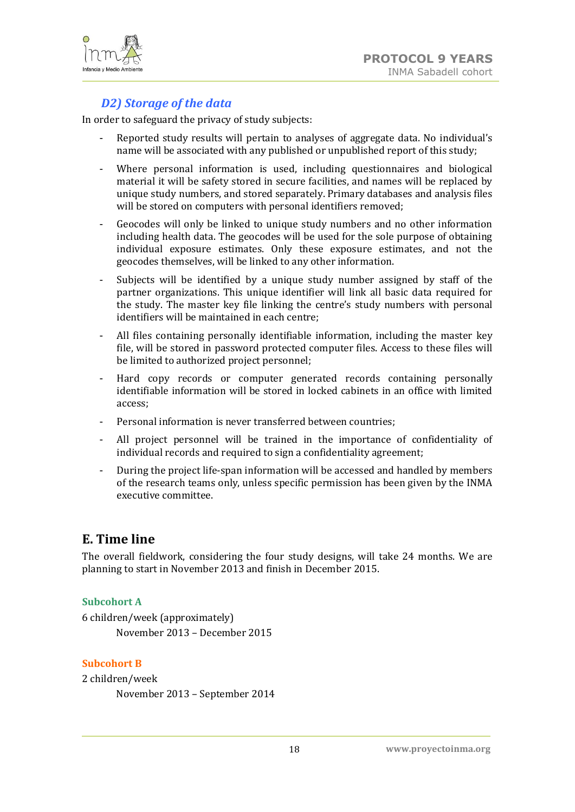



## *D2) Storage of the data*

<span id="page-17-0"></span>In order to safeguard the privacy of study subjects:

- Reported study results will pertain to analyses of aggregate data. No individual's name will be associated with any published or unpublished report of this study;
- Where personal information is used, including questionnaires and biological material it will be safety stored in secure facilities, and names will be replaced by unique study numbers, and stored separately. Primary databases and analysis files will be stored on computers with personal identifiers removed;
- Geocodes will only be linked to unique study numbers and no other information including health data. The geocodes will be used for the sole purpose of obtaining individual exposure estimates. Only these exposure estimates, and not the geocodes themselves, will be linked to any other information.
- Subjects will be identified by a unique study number assigned by staff of the partner organizations. This unique identifier will link all basic data required for the study. The master key file linking the centre's study numbers with personal identifiers will be maintained in each centre;
- All files containing personally identifiable information, including the master key file, will be stored in password protected computer files. Access to these files will be limited to authorized project personnel;
- Hard copy records or computer generated records containing personally identifiable information will be stored in locked cabinets in an office with limited access;
- Personal information is never transferred between countries;
- All project personnel will be trained in the importance of confidentiality of individual records and required to sign a confidentiality agreement:
- During the project life-span information will be accessed and handled by members of the research teams only, unless specific permission has been given by the INMA executive committee.

## <span id="page-17-1"></span>**E. Time line**

The overall fieldwork, considering the four study designs, will take 24 months. We are planning to start in November 2013 and finish in December 2015.

#### **Subcohort A**

6 children/week (approximately) November 2013 – December 2015

#### **Subcohort B**

2 children/week

November 2013 – September 2014